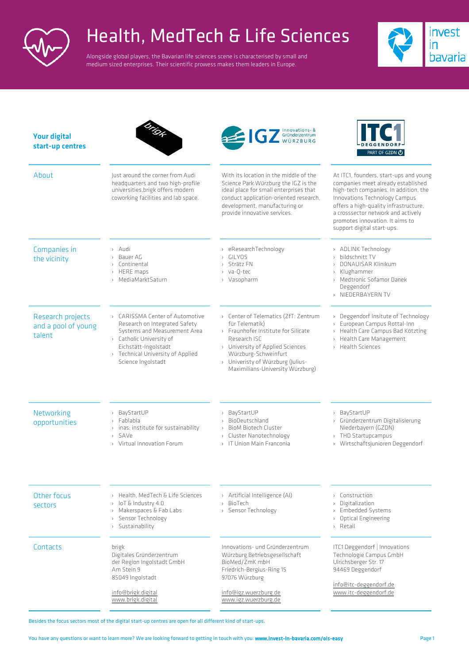

## Health, MedTech & Life Sciences

Alongside global players, the Bavarian life sciences scene is characterised by small and medium sized enterprises. Their scientific prowess makes them leaders in Europe.



| <b>Your digital</b><br>start-up centres            | Ditche                                                                                                                                                                                                          | STATISTICS OF Gründerzentrum<br>WÜRZBURG                                                                                                                                                                                                           | PART OF GZDN ①                                                                                                                                                                                                                                                                                         |
|----------------------------------------------------|-----------------------------------------------------------------------------------------------------------------------------------------------------------------------------------------------------------------|----------------------------------------------------------------------------------------------------------------------------------------------------------------------------------------------------------------------------------------------------|--------------------------------------------------------------------------------------------------------------------------------------------------------------------------------------------------------------------------------------------------------------------------------------------------------|
| About                                              | Just around the corner from Audi<br>headquarters and two high-profile<br>universities, brigk offers modern<br>coworking facilities and lab space.                                                               | With its location in the middle of the<br>Science Park Würzburg the IGZ is the<br>ideal place for small enterprises that<br>conduct application-oriented research,<br>development, manufacturing or<br>provide innovative services.                | At ITC1, founders, start-ups and young<br>companies meet already established<br>high-tech companies. In addition, the<br>Innovations Technology Campus<br>offers a high-quality infrastructure,<br>a crosssector network and actively<br>promotes innovation. It aims to<br>support digital start-ups. |
| Companies in<br>the vicinity                       | > Audi<br>Bauer AG<br>> Continental<br>> HERE maps<br>> MediaMarktSaturn                                                                                                                                        | > eResearchTechnology<br>GILYOS<br>$\mathcal{F}$<br>> Strätz FN<br>> va-O-tec<br>> Vasopharm                                                                                                                                                       | > ADLINK Technology<br>> bildschnitt TV<br>> DONAUISAR Klinikum<br>> Klughammer<br>> Medtronic Sofamor Danek<br>Deggendorf<br>> NIEDERBAYERN TV                                                                                                                                                        |
| Research projects<br>and a pool of young<br>talent | > CARISSMA Center of Automotive<br>Research on Integrated Safety<br>Systems and Measurement Area<br>> Catholic University of<br>Eichstätt-Ingolstadt<br>> Technical University of Applied<br>Science Ingolstadt | > Center of Telematics (ZfT: Zentrum<br>für Telematik)<br>> Fraunhofer Institute for Silicate<br>Research ISC<br>> University of Applied Sciences<br>Würzburg-Schweinfurt<br>> Univeristy of Würzburg (Julius-<br>Maximilians-University Würzburg) | > Deggendorf Insitute of Technology<br>> European Campus Rottal-Inn<br>> Health Care Campus Bad Kötzting<br>> Health Care Management<br>$\rightarrow$ Health Sciences                                                                                                                                  |
| Networking<br>opportunities                        | BayStartUP<br>$\,$<br>Fablabia<br>$\rightarrow$<br>inas: institute for sustainability<br>SAVe<br>$\mathcal{E}$<br>> Virtual Innovation Forum                                                                    | BayStartUP<br>$\,$<br>> BioDeutschland<br><b>BioM Biotech Cluster</b><br>$\,$<br>> Cluster Nanotechnology<br>> IT Union Main Franconia                                                                                                             | > BayStartUP<br>> Gründerzentrum Digitalisierung<br>Niederbayern (GZDN)<br>> THD Startupcampus<br>> Wirtschaftsjunioren Deggendorf                                                                                                                                                                     |
| Other focus<br>sectors                             | > Health, MedTech & Life Sciences<br>> IoT & Industry 4.0<br>> Makerspaces & Fab Labs<br>Sensor Technology<br>$\,$<br>Sustainability<br>$\,$                                                                    | > Artificial Intelligence (AI)<br>BioTech<br>$\left\langle \right\rangle$<br>> Sensor Technology                                                                                                                                                   | > Construction<br>Digitalization<br>> Embedded Systems<br>> Optical Engineering<br>> Retail                                                                                                                                                                                                            |
| Contacts                                           | brigk<br>Digitales Gründerzentrum<br>der Region Ingolstadt GmbH<br>Am Stein 9<br>85049 Ingolstadt                                                                                                               | Innovations- und Gründerzentrum<br>Würzburg Betriebsgesellschaft<br>BioMed/ZmK mbH<br>Friedrich-Bergius-Ring 15<br>97076 Würzburg                                                                                                                  | ITC1 Deggendorf   Innovations<br>Technologie Campus GmbH<br>Ulrichsberger Str. 17<br>94469 Deggendorf                                                                                                                                                                                                  |
|                                                    | info@brigk.digital<br>www.brigk.digital                                                                                                                                                                         | info@igz.wuerzburg.de<br>www.igz.wuerzburg.de                                                                                                                                                                                                      | info@itc-deggendorf.de<br>www.itc-deggendorf.de                                                                                                                                                                                                                                                        |

Besides the focus sectors most of the digital start-up centres are open for all different kind of start-ups.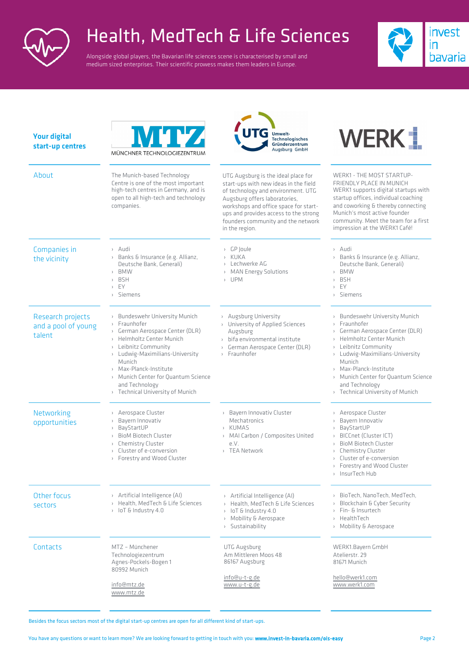

## Health, MedTech & Life Sciences

Alongside global players, the Bavarian life sciences scene is characterised by small and medium sized enterprises. Their scientific prowess makes them leaders in Europe.



| <b>Your digital</b><br>start-up centres            | WUVA<br>MÜNCHNER TECHNOLOGIEZENTRUM                                                                                                                                                                                                                                                                                                       | <b>Umwelt-</b><br>Technologisches<br>Gründerzentrum<br>Augsburg GmbH                                                                                                                                                                                                                          | WERK 1                                                                                                                                                                                                                                                                                                                                                     |
|----------------------------------------------------|-------------------------------------------------------------------------------------------------------------------------------------------------------------------------------------------------------------------------------------------------------------------------------------------------------------------------------------------|-----------------------------------------------------------------------------------------------------------------------------------------------------------------------------------------------------------------------------------------------------------------------------------------------|------------------------------------------------------------------------------------------------------------------------------------------------------------------------------------------------------------------------------------------------------------------------------------------------------------------------------------------------------------|
| About                                              | The Munich-based Technology<br>Centre is one of the most important<br>high-tech centres in Germany, and is<br>open to all high-tech and technology<br>companies.                                                                                                                                                                          | UTG Augsburg is the ideal place for<br>start-ups with new ideas in the field<br>of technology and environment. UTG<br>Augsburg offers laboratories,<br>workshops and office space for start-<br>ups and provides access to the strong<br>founders community and the network<br>in the region. | WERK1 - THE MOST STARTUP-<br>FRIENDLY PLACE IN MUNICH<br>WERK1 supports digital startups with<br>startup offices, individual coaching<br>and coworking & thereby connecting<br>Munich's most active founder<br>community. Meet the team for a first<br>impression at the WERK1 Café!                                                                       |
| Companies in<br>the vicinity                       | › Audi<br>> Banks & Insurance (e.g. Allianz,<br>Deutsche Bank, Generali)<br>> BMW<br><b>BSH</b><br>$\mathcal{L}$<br>EY<br>$\,$<br>Siemens<br>$\rightarrow$                                                                                                                                                                                | > GP Joule<br>> KUKA<br>Lechwerke AG<br>MAN Energy Solutions<br>$\,$<br>> UPM                                                                                                                                                                                                                 | > Audi<br>Banks & Insurance (e.g. Allianz,<br>$\rightarrow$<br>Deutsche Bank, Generali)<br><b>BMW</b><br>$\rightarrow$<br><b>BSH</b><br>$\rightarrow$<br>EY<br>$\rightarrow$<br>Siemens<br>$\rightarrow$                                                                                                                                                   |
| Research projects<br>and a pool of young<br>talent | <b>Bundeswehr University Munich</b><br>$\,$ $\,$<br>Fraunhofer<br>$\rightarrow$<br>German Aerospace Center (DLR)<br>> Helmholtz Center Munich<br>> Leibnitz Community<br>> Ludwig-Maximilians-University<br>Munich<br>> Max-Planck-Institute<br>> Munich Center for Quantum Science<br>and Technology<br>> Technical University of Munich | > Augsburg University<br>> University of Applied Sciences<br>Augsburg<br>bifa environmental institute<br>> German Aerospace Center (DLR)<br>> Fraunhofer                                                                                                                                      | <b>Bundeswehr University Munich</b><br>$\,$<br>Fraunhofer<br>$\rightarrow$<br>German Aerospace Center (DLR)<br>Helmholtz Center Munich<br>Leibnitz Community<br>$\rightarrow$<br>Ludwig-Maximilians-University<br>$\,$<br>Munich<br>> Max-Planck-Institute<br>Munich Center for Quantum Science<br>and Technology<br><b>Technical University of Munich</b> |
| Networking<br>opportunities                        | > Aerospace Cluster<br>Bayern Innovativ<br>BayStartUP<br>$\,$<br><b>BioM Biotech Cluster</b><br>$\rightarrow$<br>Chemistry Cluster<br>Cluster of e-conversion<br>> Forestry and Wood Cluster                                                                                                                                              | > Bayern Innovativ Cluster<br>Mechatronics<br>> KUMAS<br>> MAI Carbon / Composites United<br>e.V.<br>> TEA Network                                                                                                                                                                            | Aerospace Cluster<br>Bayern Innovativ<br>BayStartUP<br>BICCnet (Cluster ICT)<br><b>BioM Biotech Cluster</b><br>Chemistry Cluster<br>Cluster of e-conversion<br>$\rightarrow$<br>> Forestry and Wood Cluster<br>> InsurTech Hub                                                                                                                             |
| Other focus<br>sectors                             | > Artificial Intelligence (AI)<br>> Health, MedTech & Life Sciences<br>> loT & Industry 4.0                                                                                                                                                                                                                                               | > Artificial Intelligence (AI)<br>> Health. MedTech & Life Sciences<br>> loT & Industry 4.0<br>Mobility & Aerospace<br>$\rangle$<br>> Sustainability                                                                                                                                          | > BioTech, NanoTech, MedTech,<br>Blockchain & Cyber Security<br>Fin- & Insurtech<br>> HealthTech<br>> Mobility & Aerospace                                                                                                                                                                                                                                 |
| Contacts                                           | MTZ - Münchener<br>Technologiezentrum<br>Agnes-Pockels-Bogen 1<br>80992 Munich                                                                                                                                                                                                                                                            | UTG Augsburg<br>Am Mittleren Moos 48<br>86167 Augsburg                                                                                                                                                                                                                                        | WERK1.Bayern GmbH<br>Atelierstr. 29<br>81671 Munich                                                                                                                                                                                                                                                                                                        |
|                                                    | info@mtz.de<br>www.mtz.de                                                                                                                                                                                                                                                                                                                 | info@u-t-g.de<br>www.u-t-g.de                                                                                                                                                                                                                                                                 | hello@werk1.com<br>www.werk1.com                                                                                                                                                                                                                                                                                                                           |

Besides the focus sectors most of t[he digital start-u](mailto:info@mtz.de)p centres are open for all differen[t kind of start-up](http://www.werk1.com/)s.